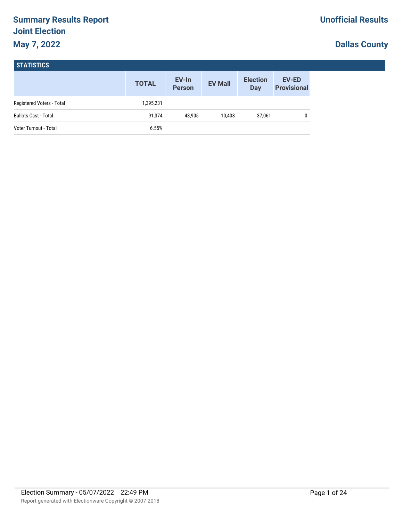# **Summary Results Report Joint Election May 7, 2022**

# **Dallas County**

|                             | <b>TOTAL</b> | EV-In<br><b>Person</b> | <b>EV Mail</b> | <b>Election</b><br>Day | <b>EV-ED</b><br><b>Provisional</b> |
|-----------------------------|--------------|------------------------|----------------|------------------------|------------------------------------|
| Registered Voters - Total   | 1,395,231    |                        |                |                        |                                    |
| <b>Ballots Cast - Total</b> | 91.374       | 43.905                 | 10.408         | 37,061                 | 0                                  |
| Voter Turnout - Total       | 6.55%        |                        |                |                        |                                    |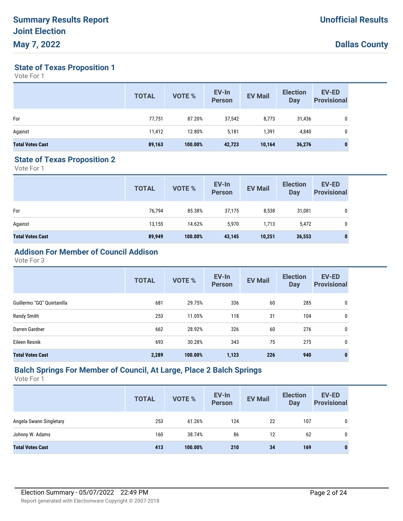**State of Texas Proposition 1**

Vote For 1

|                         | <b>TOTAL</b> | VOTE %  | EV-In<br><b>Person</b> | <b>EV Mail</b> | <b>Election</b><br>Day | EV-ED<br><b>Provisional</b> |
|-------------------------|--------------|---------|------------------------|----------------|------------------------|-----------------------------|
| For                     | 77,751       | 87.20%  | 37,542                 | 8,773          | 31,436                 | 0                           |
| Against                 | 11,412       | 12.80%  | 5,181                  | 1,391          | 4,840                  | 0                           |
| <b>Total Votes Cast</b> | 89,163       | 100.00% | 42,723                 | 10,164         | 36,276                 | 0                           |

### **State of Texas Proposition 2**

Vote For 1

|                         | <b>TOTAL</b> | VOTE %  | EV-In<br><b>Person</b> | <b>EV Mail</b> | <b>Election</b><br><b>Day</b> | <b>EV-ED</b><br><b>Provisional</b> |
|-------------------------|--------------|---------|------------------------|----------------|-------------------------------|------------------------------------|
| For                     | 76,794       | 85.38%  | 37,175                 | 8,538          | 31,081                        | 0                                  |
| Against                 | 13,155       | 14.62%  | 5,970                  | 1,713          | 5,472                         | 0                                  |
| <b>Total Votes Cast</b> | 89,949       | 100.00% | 43,145                 | 10,251         | 36,553                        | $\bf{0}$                           |

# **Addison For Member of Council Addison**

Vote For 3

|                            | <b>TOTAL</b> | VOTE %  | EV-In<br><b>Person</b> | <b>EV Mail</b> | <b>Election</b><br><b>Day</b> | <b>EV-ED</b><br><b>Provisional</b> |
|----------------------------|--------------|---------|------------------------|----------------|-------------------------------|------------------------------------|
| Guillermo "GQ" Quintanilla | 681          | 29.75%  | 336                    | 60             | 285                           | 0                                  |
| Randy Smith                | 253          | 11.05%  | 118                    | 31             | 104                           | 0                                  |
| Darren Gardner             | 662          | 28.92%  | 326                    | 60             | 276                           | 0                                  |
| Eileen Resnik              | 693          | 30.28%  | 343                    | 75             | 275                           | 0                                  |
| <b>Total Votes Cast</b>    | 2,289        | 100.00% | 1,123                  | 226            | 940                           | $\bf{0}$                           |

# **Balch Springs For Member of Council, At Large, Place 2 Balch Springs**

|                         | <b>TOTAL</b> | VOTE %  | EV-In<br><b>Person</b> | <b>EV Mail</b> | <b>Election</b><br>Day | <b>EV-ED</b><br><b>Provisional</b> |
|-------------------------|--------------|---------|------------------------|----------------|------------------------|------------------------------------|
| Angela Swann Singletary | 253          | 61.26%  | 124                    | 22             | 107                    | 0                                  |
| Johnny W. Adams         | 160          | 38.74%  | 86                     | 12             | 62                     | 0                                  |
| <b>Total Votes Cast</b> | 413          | 100.00% | 210                    | 34             | 169                    | 0                                  |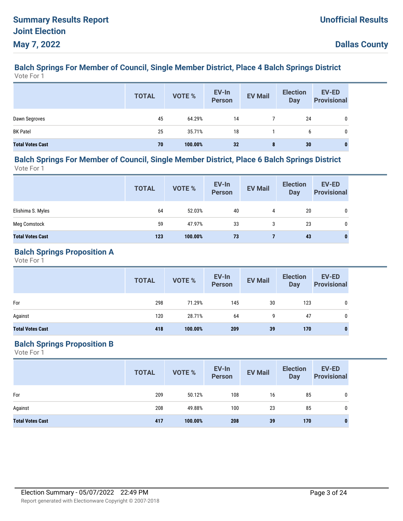#### **Balch Springs For Member of Council, Single Member District, Place 4 Balch Springs District** Vote For 1

|                         | <b>TOTAL</b> | VOTE %  | EV-In<br>Person | <b>EV Mail</b> | <b>Election</b><br><b>Day</b> | EV-ED<br><b>Provisional</b> |
|-------------------------|--------------|---------|-----------------|----------------|-------------------------------|-----------------------------|
| Dawn Segroves           | 45           | 64.29%  | 14              |                | 24                            |                             |
| <b>BK Patel</b>         | 25           | 35.71%  | 18              |                | 6                             |                             |
| <b>Total Votes Cast</b> | 70           | 100.00% | 32              | 8              | 30                            | 0                           |

#### **Balch Springs For Member of Council, Single Member District, Place 6 Balch Springs District** Vote For 1

**EV-In Person Election Day TOTAL EV Mail EV-ED Provisional EV-In**<br> **Provisional** EV Mail Day Provisional Elishima S. Myles 64 52.03% 40 4 20 0 Meg Comstock 59 47.97% 33 3 23 0 **Total Votes Cast 123 100.00% 73 7 43 0**

## **Balch Springs Proposition A**

Vote For 1

|                         | <b>TOTAL</b> | VOTE %  | EV-In<br>Person | <b>EV Mail</b> | <b>Election</b><br><b>Day</b> | <b>EV-ED</b><br><b>Provisional</b> |
|-------------------------|--------------|---------|-----------------|----------------|-------------------------------|------------------------------------|
| For                     | 298          | 71.29%  | 145             | 30             | 123                           | 0                                  |
| Against                 | 120          | 28.71%  | 64              | 9              | 47                            | 0                                  |
| <b>Total Votes Cast</b> | 418          | 100.00% | 209             | 39             | 170                           |                                    |

# **Balch Springs Proposition B**

|                         | <b>TOTAL</b> | VOTE %  | EV-In<br>Person | <b>EV Mail</b> | <b>Election</b><br>Day | EV-ED<br><b>Provisional</b> |
|-------------------------|--------------|---------|-----------------|----------------|------------------------|-----------------------------|
| For                     | 209          | 50.12%  | 108             | 16             | 85                     |                             |
| Against                 | 208          | 49.88%  | 100             | 23             | 85                     | 0                           |
| <b>Total Votes Cast</b> | 417          | 100.00% | 208             | 39             | 170                    | 0                           |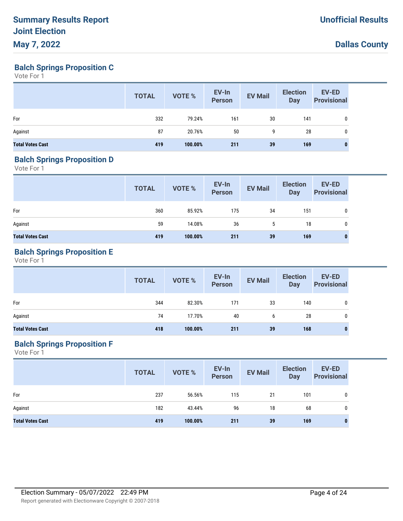**Balch Springs Proposition C**

Vote For 1

|                         | <b>TOTAL</b> | VOTE %  | EV-In<br>Person | <b>EV Mail</b> | <b>Election</b><br><b>Day</b> | EV-ED<br><b>Provisional</b> |
|-------------------------|--------------|---------|-----------------|----------------|-------------------------------|-----------------------------|
| For                     | 332          | 79.24%  | 161             | 30             | 141                           | 0                           |
| Against                 | 87           | 20.76%  | 50              | 9              | 28                            | 0                           |
| <b>Total Votes Cast</b> | 419          | 100.00% | 211             | 39             | 169                           |                             |

## **Balch Springs Proposition D**

Vote For 1

|                         | <b>TOTAL</b> | VOTE %  | EV-In<br>Person | <b>EV Mail</b> | <b>Election</b><br><b>Day</b> | <b>EV-ED</b><br><b>Provisional</b> |
|-------------------------|--------------|---------|-----------------|----------------|-------------------------------|------------------------------------|
| For                     | 360          | 85.92%  | 175             | 34             | 151                           | 0                                  |
| Against                 | 59           | 14.08%  | 36              | 5              | 18                            | 0                                  |
| <b>Total Votes Cast</b> | 419          | 100.00% | 211             | 39             | 169                           | $\bf{0}$                           |

# **Balch Springs Proposition E**

Vote For 1

|                         | <b>TOTAL</b> | VOTE %  | EV-In<br>Person | <b>EV Mail</b> | <b>Election</b><br><b>Day</b> | <b>EV-ED</b><br><b>Provisional</b> |
|-------------------------|--------------|---------|-----------------|----------------|-------------------------------|------------------------------------|
| For                     | 344          | 82.30%  | 171             | 33             | 140                           |                                    |
| Against                 | 74           | 17.70%  | 40              | 6              | 28                            |                                    |
| <b>Total Votes Cast</b> | 418          | 100.00% | 211             | 39             | 168                           |                                    |

# **Balch Springs Proposition F**

|                         | <b>TOTAL</b> | VOTE %  | EV-In<br>Person | <b>EV Mail</b> | <b>Election</b><br><b>Day</b> | <b>EV-ED</b><br><b>Provisional</b> |
|-------------------------|--------------|---------|-----------------|----------------|-------------------------------|------------------------------------|
| For                     | 237          | 56.56%  | 115             | 21             | 101                           | 0                                  |
| Against                 | 182          | 43.44%  | 96              | 18             | 68                            | 0                                  |
| <b>Total Votes Cast</b> | 419          | 100.00% | 211             | 39             | 169                           | 0                                  |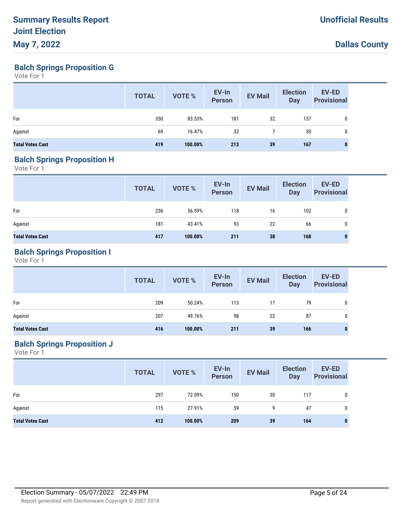**Balch Springs Proposition G**

Vote For 1

|                         | <b>TOTAL</b> | VOTE %  | EV-In<br><b>Person</b> | <b>EV Mail</b> | <b>Election</b><br><b>Day</b> | EV-ED<br><b>Provisional</b> |
|-------------------------|--------------|---------|------------------------|----------------|-------------------------------|-----------------------------|
| For                     | 350          | 83.53%  | 181                    | 32             | 137                           | 0                           |
| Against                 | 69           | 16.47%  | 32                     |                | 30                            | 0                           |
| <b>Total Votes Cast</b> | 419          | 100.00% | 213                    | 39             | 167                           | $\bf{0}$                    |

## **Balch Springs Proposition H**

Vote For 1

|                         | <b>TOTAL</b> | VOTE %  | EV-In<br>Person | <b>EV Mail</b> | <b>Election</b><br><b>Day</b> | <b>EV-ED</b><br><b>Provisional</b> |
|-------------------------|--------------|---------|-----------------|----------------|-------------------------------|------------------------------------|
| For                     | 236          | 56.59%  | 118             | 16             | 102                           | 0                                  |
| Against                 | 181          | 43.41%  | 93              | 22             | 66                            | 0                                  |
| <b>Total Votes Cast</b> | 417          | 100.00% | 211             | 38             | 168                           | $\bf{0}$                           |

# **Balch Springs Proposition I**

Vote For 1

|                         | <b>TOTAL</b> | <b>VOTE %</b> | EV-In<br>Person | <b>EV Mail</b> | <b>Election</b><br><b>Day</b> | <b>EV-ED</b><br><b>Provisional</b> |
|-------------------------|--------------|---------------|-----------------|----------------|-------------------------------|------------------------------------|
| For                     | 209          | 50.24%        | 113             | 17             | 79                            | 0                                  |
| Against                 | 207          | 49.76%        | 98              | 22             | 87                            | 0                                  |
| <b>Total Votes Cast</b> | 416          | 100.00%       | 211             | 39             | 166                           | 0                                  |

# **Balch Springs Proposition J**

|                         | <b>TOTAL</b> | VOTE %  | EV-In<br>Person | <b>EV Mail</b> | <b>Election</b><br><b>Day</b> | <b>EV-ED</b><br><b>Provisional</b> |
|-------------------------|--------------|---------|-----------------|----------------|-------------------------------|------------------------------------|
| For                     | 297          | 72.09%  | 150             | 30             | 117                           | 0                                  |
| Against                 | 115          | 27.91%  | 59              | 9              | 47                            | 0                                  |
| <b>Total Votes Cast</b> | 412          | 100.00% | 209             | 39             | 164                           | 0                                  |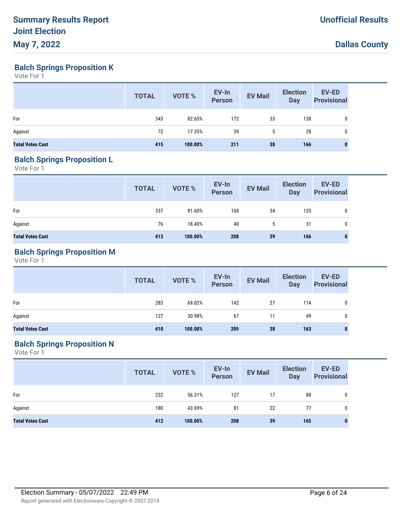**Balch Springs Proposition K**

Vote For 1

|                         | <b>TOTAL</b> | VOTE %  | EV-In<br>Person | <b>EV Mail</b> | <b>Election</b><br><b>Day</b> | EV-ED<br><b>Provisional</b> |
|-------------------------|--------------|---------|-----------------|----------------|-------------------------------|-----------------------------|
| For                     | 343          | 82.65%  | 172             | 33             | 138                           | 0                           |
| Against                 | 72           | 17.35%  | 39              | 5              | 28                            | 0                           |
| <b>Total Votes Cast</b> | 415          | 100.00% | 211             | 38             | 166                           |                             |

### **Balch Springs Proposition L**

Vote For 1

|                         | <b>TOTAL</b> | VOTE %  | EV-In<br>Person | <b>EV Mail</b> | <b>Election</b><br>Day | <b>EV-ED</b><br><b>Provisional</b> |
|-------------------------|--------------|---------|-----------------|----------------|------------------------|------------------------------------|
| For                     | 337          | 81.60%  | 168             | 34             | 135                    | 0                                  |
| Against                 | 76           | 18.40%  | 40              | 5              | 31                     | 0                                  |
| <b>Total Votes Cast</b> | 413          | 100.00% | 208             | 39             | 166                    | $\bf{0}$                           |

# **Balch Springs Proposition M**

Vote For 1

|                         | <b>TOTAL</b> | VOTE %  | EV-In<br>Person | <b>EV Mail</b> | <b>Election</b><br><b>Day</b> | <b>EV-ED</b><br><b>Provisional</b> |
|-------------------------|--------------|---------|-----------------|----------------|-------------------------------|------------------------------------|
| For                     | 283          | 69.02%  | 142             | 27             | 114                           | 0                                  |
| Against                 | 127          | 30.98%  | 67              | 11             | 49                            | 0                                  |
| <b>Total Votes Cast</b> | 410          | 100.00% | 209             | 38             | 163                           | $\bf{0}$                           |

# **Balch Springs Proposition N**

|                         | <b>TOTAL</b> | VOTE %  | EV-In<br>Person | <b>EV Mail</b> | <b>Election</b><br>Day | <b>EV-ED</b><br><b>Provisional</b> |
|-------------------------|--------------|---------|-----------------|----------------|------------------------|------------------------------------|
| For                     | 232          | 56.31%  | 127             | 17             | 88                     | 0                                  |
| Against                 | 180          | 43.69%  | 81              | 22             | 77                     | 0                                  |
| <b>Total Votes Cast</b> | 412          | 100.00% | 208             | 39             | 165                    | $\bf{0}$                           |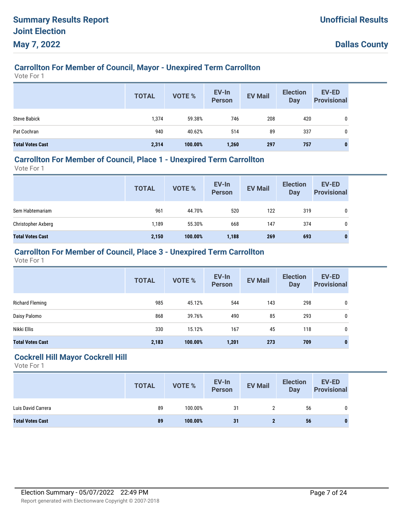# **Carrollton For Member of Council, Mayor - Unexpired Term Carrollton**

Vote For 1

|                         | <b>TOTAL</b> | <b>VOTE %</b> | EV-In<br><b>Person</b> | <b>EV Mail</b> | <b>Election</b><br>Day | <b>EV-ED</b><br><b>Provisional</b> |
|-------------------------|--------------|---------------|------------------------|----------------|------------------------|------------------------------------|
| <b>Steve Babick</b>     | 1,374        | 59.38%        | 746                    | 208            | 420                    |                                    |
| Pat Cochran             | 940          | 40.62%        | 514                    | 89             | 337                    |                                    |
| <b>Total Votes Cast</b> | 2,314        | 100.00%       | 1,260                  | 297            | 757                    | $\bf{0}$                           |

# **Carrollton For Member of Council, Place 1 - Unexpired Term Carrollton**

Vote For 1

|                         | <b>TOTAL</b> | <b>VOTE %</b> | EV-In<br><b>Person</b> | <b>EV Mail</b> | <b>Election</b><br><b>Day</b> | <b>EV-ED</b><br><b>Provisional</b> |
|-------------------------|--------------|---------------|------------------------|----------------|-------------------------------|------------------------------------|
| Sem Habtemariam         | 961          | 44.70%        | 520                    | 122            | 319                           | 0                                  |
| Christopher Axberg      | 1,189        | 55.30%        | 668                    | 147            | 374                           | 0                                  |
| <b>Total Votes Cast</b> | 2,150        | 100.00%       | 1,188                  | 269            | 693                           | $\bf{0}$                           |

# **Carrollton For Member of Council, Place 3 - Unexpired Term Carrollton**

Vote For 1

|                         | <b>TOTAL</b> | <b>VOTE %</b> | EV-In<br><b>Person</b> | <b>EV Mail</b> | <b>Election</b><br><b>Day</b> | <b>EV-ED</b><br><b>Provisional</b> |
|-------------------------|--------------|---------------|------------------------|----------------|-------------------------------|------------------------------------|
| Richard Fleming         | 985          | 45.12%        | 544                    | 143            | 298                           | 0                                  |
| Daisy Palomo            | 868          | 39.76%        | 490                    | 85             | 293                           | 0                                  |
| Nikki Ellis             | 330          | 15.12%        | 167                    | 45             | 118                           | $\mathbf 0$                        |
| <b>Total Votes Cast</b> | 2,183        | 100.00%       | 1,201                  | 273            | 709                           | 0                                  |

### **Cockrell Hill Mayor Cockrell Hill**

|                         | <b>TOTAL</b> | <b>VOTE %</b> | EV-In<br>Person | <b>EV Mail</b> | <b>Election</b><br><b>Day</b> | <b>EV-ED</b><br><b>Provisional</b> |
|-------------------------|--------------|---------------|-----------------|----------------|-------------------------------|------------------------------------|
| Luis David Carrera      | 89           | 100.00%       | 31              |                | 56                            |                                    |
| <b>Total Votes Cast</b> | 89           | 100.00%       | 31              |                | 56                            |                                    |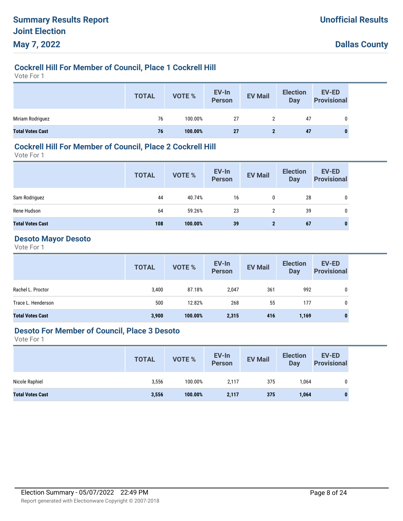# **Cockrell Hill For Member of Council, Place 1 Cockrell Hill**

Vote For 1

|                         | <b>TOTAL</b> | VOTE %  | EV-In<br>Person | <b>EV Mail</b> | <b>Election</b><br>Day | EV-ED<br><b>Provisional</b> |
|-------------------------|--------------|---------|-----------------|----------------|------------------------|-----------------------------|
| Miriam Rodriguez        | 76           | 100.00% | 27              | 2              | 47                     |                             |
| <b>Total Votes Cast</b> | 76           | 100.00% | 27              |                | 47                     | 0                           |

## **Cockrell Hill For Member of Council, Place 2 Cockrell Hill**

Vote For 1

|                         | <b>TOTAL</b> | VOTE %  | EV-In<br>Person | <b>EV Mail</b> | <b>Election</b><br>Day | <b>EV-ED</b><br><b>Provisional</b> |
|-------------------------|--------------|---------|-----------------|----------------|------------------------|------------------------------------|
| Sam Rodriguez           | 44           | 40.74%  | 16              | 0              | 28                     | 0                                  |
| Rene Hudson             | 64           | 59.26%  | 23              | $\overline{2}$ | 39                     | 0                                  |
| <b>Total Votes Cast</b> | 108          | 100.00% | 39              | $\mathbf{2}$   | 67                     | 0                                  |

### **Desoto Mayor Desoto**

Vote For 1

|                         | <b>TOTAL</b> | <b>VOTE %</b> | EV-In<br>Person | <b>EV Mail</b> | <b>Election</b><br><b>Day</b> | <b>EV-ED</b><br><b>Provisional</b> |
|-------------------------|--------------|---------------|-----------------|----------------|-------------------------------|------------------------------------|
| Rachel L. Proctor       | 3,400        | 87.18%        | 2,047           | 361            | 992                           | 0                                  |
| Trace L. Henderson      | 500          | 12.82%        | 268             | 55             | 177                           | $\mathbf 0$                        |
| <b>Total Votes Cast</b> | 3,900        | 100.00%       | 2,315           | 416            | 1,169                         | $\bf{0}$                           |

## **Desoto For Member of Council, Place 3 Desoto**

|                         | <b>TOTAL</b> | VOTE %  | EV-In<br><b>Person</b> | <b>EV Mail</b> | <b>Election</b><br>Day | <b>EV-ED</b><br><b>Provisional</b> |
|-------------------------|--------------|---------|------------------------|----------------|------------------------|------------------------------------|
| Nicole Raphiel          | 3,556        | 100.00% | 2,117                  | 375            | 1,064                  | 0                                  |
| <b>Total Votes Cast</b> | 3,556        | 100.00% | 2,117                  | 375            | 1,064                  |                                    |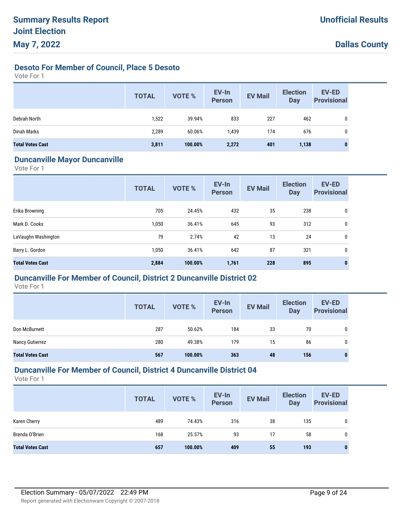# **Desoto For Member of Council, Place 5 Desoto**

Vote For 1

|                         | <b>TOTAL</b> | VOTE %  | EV-In<br><b>Person</b> | <b>EV Mail</b> | <b>Election</b><br>Day | EV-ED<br><b>Provisional</b> |
|-------------------------|--------------|---------|------------------------|----------------|------------------------|-----------------------------|
| Debrah North            | 1,522        | 39.94%  | 833                    | 227            | 462                    | 0                           |
| Dinah Marks             | 2,289        | 60.06%  | 1,439                  | 174            | 676                    | 0                           |
| <b>Total Votes Cast</b> | 3,811        | 100.00% | 2,272                  | 401            | 1,138                  |                             |

#### **Duncanville Mayor Duncanville**

Vote For 1

|                         | <b>TOTAL</b> | <b>VOTE %</b> | EV-In<br><b>Person</b> | <b>EV Mail</b> | <b>Election</b><br>Day | <b>EV-ED</b><br><b>Provisional</b> |
|-------------------------|--------------|---------------|------------------------|----------------|------------------------|------------------------------------|
| Erika Browning          | 705          | 24.45%        | 432                    | 35             | 238                    | 0                                  |
| Mark D. Cooks           | 1,050        | 36.41%        | 645                    | 93             | 312                    | 0                                  |
| LaVaughn Washington     | 79           | 2.74%         | 42                     | 13             | 24                     | 0                                  |
| Barry L. Gordon         | 1,050        | 36.41%        | 642                    | 87             | 321                    | 0                                  |
| <b>Total Votes Cast</b> | 2,884        | 100.00%       | 1,761                  | 228            | 895                    | $\mathbf{0}$                       |

# **Duncanville For Member of Council, District 2 Duncanville District 02**

Vote For 1

|                         | <b>TOTAL</b> | <b>VOTE %</b> | EV-In<br><b>Person</b> | <b>EV Mail</b> | <b>Election</b><br>Day | <b>EV-ED</b><br><b>Provisional</b> |
|-------------------------|--------------|---------------|------------------------|----------------|------------------------|------------------------------------|
| Don McBurnett           | 287          | 50.62%        | 184                    | 33             | 70                     | $\mathbf{0}$                       |
| Nancy Gutierrez         | 280          | 49.38%        | 179                    | 15             | 86                     | $\mathbf{0}$                       |
| <b>Total Votes Cast</b> | 567          | 100.00%       | 363                    | 48             | 156                    | 0                                  |

# **Duncanville For Member of Council, District 4 Duncanville District 04**

|                         | <b>TOTAL</b> | <b>VOTE %</b> | EV-In<br><b>Person</b> | <b>EV Mail</b> | <b>Election</b><br>Day | <b>EV-ED</b><br><b>Provisional</b> |
|-------------------------|--------------|---------------|------------------------|----------------|------------------------|------------------------------------|
| Karen Cherry            | 489          | 74.43%        | 316                    | 38             | 135                    | 0                                  |
| Brenda O'Brien          | 168          | 25.57%        | 93                     | 17             | 58                     | 0                                  |
| <b>Total Votes Cast</b> | 657          | 100.00%       | 409                    | 55             | 193                    | 0                                  |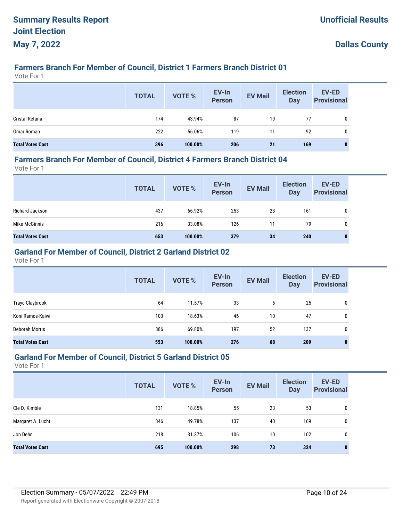# **Farmers Branch For Member of Council, District 1 Farmers Branch District 01**

Vote For 1

|                         | <b>TOTAL</b> | VOTE %  | EV-In<br>Person | <b>EV Mail</b> | <b>Election</b><br>Day | <b>EV-ED</b><br><b>Provisional</b> |
|-------------------------|--------------|---------|-----------------|----------------|------------------------|------------------------------------|
| Cristal Retana          | 174          | 43.94%  | 87              | 10             | 77                     | 0                                  |
| Omar Roman              | 222          | 56.06%  | 119             | 11             | 92                     | 0                                  |
| <b>Total Votes Cast</b> | 396          | 100.00% | 206             | 21             | 169                    | 0                                  |

#### **Farmers Branch For Member of Council, District 4 Farmers Branch District 04**

Vote For 1

|                         | <b>TOTAL</b> | VOTE %  | EV-In<br>Person | <b>EV Mail</b> | <b>Election</b><br><b>Day</b> | <b>EV-ED</b><br><b>Provisional</b> |
|-------------------------|--------------|---------|-----------------|----------------|-------------------------------|------------------------------------|
| Richard Jackson         | 437          | 66.92%  | 253             | 23             | 161                           | 0                                  |
| Mike McGinnis           | 216          | 33.08%  | 126             | 11             | 79                            | 0                                  |
| <b>Total Votes Cast</b> | 653          | 100.00% | 379             | 34             | 240                           | $\bf{0}$                           |

# **Garland For Member of Council, District 2 Garland District 02**

Vote For 1

|                         | <b>TOTAL</b> | <b>VOTE %</b> | EV-In<br><b>Person</b> | <b>EV Mail</b> | <b>Election</b><br><b>Day</b> | <b>EV-ED</b><br><b>Provisional</b> |
|-------------------------|--------------|---------------|------------------------|----------------|-------------------------------|------------------------------------|
| Trayc Claybrook         | 64           | 11.57%        | 33                     | 6              | 25                            | 0                                  |
| Koni Ramos-Kaiwi        | 103          | 18.63%        | 46                     | 10             | 47                            | 0                                  |
| Deborah Morris          | 386          | 69.80%        | 197                    | 52             | 137                           | 0                                  |
| <b>Total Votes Cast</b> | 553          | 100.00%       | 276                    | 68             | 209                           | 0                                  |

## **Garland For Member of Council, District 5 Garland District 05**

|                         | <b>TOTAL</b> | <b>VOTE %</b> | EV-In<br><b>Person</b> | <b>EV Mail</b> | <b>Election</b><br><b>Day</b> | <b>EV-ED</b><br><b>Provisional</b> |
|-------------------------|--------------|---------------|------------------------|----------------|-------------------------------|------------------------------------|
| Cle D. Kimble           | 131          | 18.85%        | 55                     | 23             | 53                            | 0                                  |
| Margaret A. Lucht       | 346          | 49.78%        | 137                    | 40             | 169                           | 0                                  |
| Jon Dehn                | 218          | 31.37%        | 106                    | 10             | 102                           | 0                                  |
| <b>Total Votes Cast</b> | 695          | 100.00%       | 298                    | 73             | 324                           | 0                                  |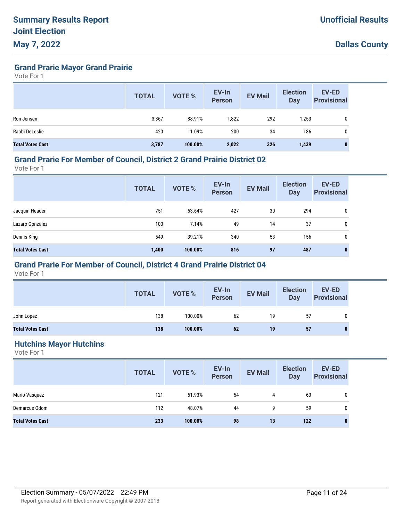**Grand Prarie Mayor Grand Prairie**

Vote For 1

|                         | <b>TOTAL</b> | <b>VOTE %</b> | EV-In<br><b>Person</b> | <b>EV Mail</b> | <b>Election</b><br>Day | <b>EV-ED</b><br><b>Provisional</b> |
|-------------------------|--------------|---------------|------------------------|----------------|------------------------|------------------------------------|
| Ron Jensen              | 3,367        | 88.91%        | 1,822                  | 292            | 1,253                  | 0                                  |
| Rabbi DeLeslie          | 420          | 11.09%        | 200                    | 34             | 186                    | 0                                  |
| <b>Total Votes Cast</b> | 3,787        | 100.00%       | 2,022                  | 326            | 1,439                  | $\mathbf{0}$                       |

#### **Grand Prarie For Member of Council, District 2 Grand Prairie District 02**

Vote For 1

|                         | <b>TOTAL</b> | VOTE %  | EV-In<br><b>Person</b> | <b>EV Mail</b> | <b>Election</b><br><b>Day</b> | EV-ED<br><b>Provisional</b> |
|-------------------------|--------------|---------|------------------------|----------------|-------------------------------|-----------------------------|
| Jacquin Headen          | 751          | 53.64%  | 427                    | 30             | 294                           | 0                           |
| Lazaro Gonzalez         | 100          | 7.14%   | 49                     | 14             | 37                            | $\mathbf 0$                 |
| Dennis King             | 549          | 39.21%  | 340                    | 53             | 156                           | $\mathbf 0$                 |
| <b>Total Votes Cast</b> | 1,400        | 100.00% | 816                    | 97             | 487                           | 0                           |

# **Grand Prarie For Member of Council, District 4 Grand Prairie District 04**

Vote For 1

|                         | <b>TOTAL</b> | <b>VOTE %</b> | EV-In<br>Person | <b>EV Mail</b> | <b>Election</b><br><b>Day</b> | <b>EV-ED</b><br><b>Provisional</b> |
|-------------------------|--------------|---------------|-----------------|----------------|-------------------------------|------------------------------------|
| John Lopez              | 138          | 100.00%       | 62              | 19             | 57                            | 0                                  |
| <b>Total Votes Cast</b> | 138          | 100.00%       | 62              | 19             | 57                            |                                    |

#### **Hutchins Mayor Hutchins**

|                         | <b>TOTAL</b> | <b>VOTE %</b> | EV-In<br>Person | <b>EV Mail</b> | <b>Election</b><br>Day | <b>EV-ED</b><br><b>Provisional</b> |
|-------------------------|--------------|---------------|-----------------|----------------|------------------------|------------------------------------|
| Mario Vasquez           | 121          | 51.93%        | 54              | 4              | 63                     | 0                                  |
| Demarcus Odom           | 112          | 48.07%        | 44              | 9              | 59                     | 0                                  |
| <b>Total Votes Cast</b> | 233          | 100.00%       | 98              | 13             | 122                    | 0                                  |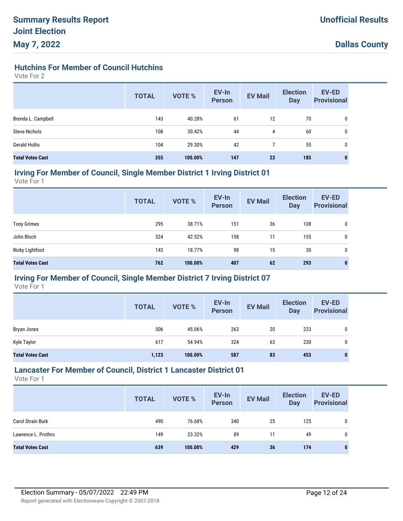# **Hutchins For Member of Council Hutchins**

Vote For 2

|                         | <b>TOTAL</b> | <b>VOTE %</b> | EV-In<br><b>Person</b> | <b>EV Mail</b> | <b>Election</b><br><b>Day</b> | <b>EV-ED</b><br><b>Provisional</b> |
|-------------------------|--------------|---------------|------------------------|----------------|-------------------------------|------------------------------------|
| Brenda L. Campbell      | 143          | 40.28%        | 61                     | 12             | 70                            | 0                                  |
| <b>Steve Nichols</b>    | 108          | 30.42%        | 44                     | 4              | 60                            | 0                                  |
| <b>Gerald Hollis</b>    | 104          | 29.30%        | 42                     |                | 55                            | 0                                  |
| <b>Total Votes Cast</b> | 355          | 100.00%       | 147                    | 23             | 185                           | $\mathbf{0}$                       |

#### **Irving For Member of Council, Single Member District 1 Irving District 01**

Vote For 1

|                         | <b>TOTAL</b> | <b>VOTE %</b> | EV-In<br><b>Person</b> | <b>EV Mail</b> | <b>Election</b><br><b>Day</b> | <b>EV-ED</b><br><b>Provisional</b> |
|-------------------------|--------------|---------------|------------------------|----------------|-------------------------------|------------------------------------|
| <b>Tony Grimes</b>      | 295          | 38.71%        | 151                    | 36             | 108                           | 0                                  |
| John Bloch              | 324          | 42.52%        | 158                    | 11             | 155                           | 0                                  |
| <b>Ricky Lightfoot</b>  | 143          | 18.77%        | 98                     | 15             | 30                            | 0                                  |
| <b>Total Votes Cast</b> | 762          | 100.00%       | 407                    | 62             | 293                           | $\bf{0}$                           |

# **Irving For Member of Council, Single Member District 7 Irving District 07**

Vote For 1

|                         | <b>TOTAL</b> | <b>VOTE %</b> | EV-In<br><b>Person</b> | <b>EV Mail</b> | <b>Election</b><br><b>Day</b> | <b>EV-ED</b><br><b>Provisional</b> |
|-------------------------|--------------|---------------|------------------------|----------------|-------------------------------|------------------------------------|
| Bryan Jones             | 506          | 45.06%        | 263                    | 20             | 223                           | 0                                  |
| Kyle Taylor             | 617          | 54.94%        | 324                    | 63             | 230                           | 0                                  |
| <b>Total Votes Cast</b> | 1,123        | 100.00%       | 587                    | 83             | 453                           | 0                                  |

# **Lancaster For Member of Council, District 1 Lancaster District 01**

|                          | <b>TOTAL</b> | <b>VOTE %</b> | EV-In<br><b>Person</b> | <b>EV Mail</b> | <b>Election</b><br><b>Day</b> | <b>EV-ED</b><br><b>Provisional</b> |
|--------------------------|--------------|---------------|------------------------|----------------|-------------------------------|------------------------------------|
| <b>Carol Strain Burk</b> | 490          | 76.68%        | 340                    | 25             | 125                           |                                    |
| Lawrence L. Prothro      | 149          | 23.32%        | 89                     | 11             | 49                            |                                    |
| <b>Total Votes Cast</b>  | 639          | 100.00%       | 429                    | 36             | 174                           | 0                                  |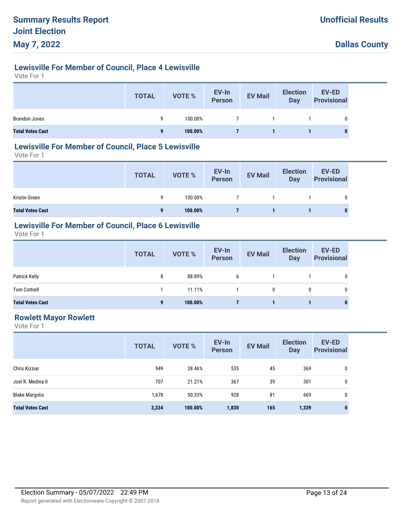# **Lewisville For Member of Council, Place 4 Lewisville**

Vote For 1

|                         | <b>TOTAL</b> | <b>VOTE %</b> | EV-In<br>Person | <b>EV Mail</b> | <b>Election</b><br><b>Day</b> | <b>EV-ED</b><br><b>Provisional</b> |
|-------------------------|--------------|---------------|-----------------|----------------|-------------------------------|------------------------------------|
| <b>Brandon Jones</b>    | a            | 100.00%       |                 |                |                               | 0                                  |
| <b>Total Votes Cast</b> | q            | 100.00%       |                 |                |                               | 0                                  |

## **Lewisville For Member of Council, Place 5 Lewisville**

Vote For 1

|                         | <b>TOTAL</b> | VOTE %  | EV-In<br>Person | <b>EV Mail</b> | <b>Election</b><br>Day | EV-ED<br><b>Provisional</b> |
|-------------------------|--------------|---------|-----------------|----------------|------------------------|-----------------------------|
| Kristin Green           | a            | 100.00% |                 |                |                        | 0                           |
| <b>Total Votes Cast</b> | 9            | 100.00% |                 |                |                        | 0                           |

# **Lewisville For Member of Council, Place 6 Lewisville**

Vote For 1

|                         | <b>TOTAL</b> | VOTE %  | EV-In<br>Person | <b>EV Mail</b> | <b>Election</b><br><b>Day</b> | <b>EV-ED</b><br><b>Provisional</b> |
|-------------------------|--------------|---------|-----------------|----------------|-------------------------------|------------------------------------|
| Patrick Kelly           | 8            | 88.89%  | 6               |                |                               | 0                                  |
| <b>Tom Cottrell</b>     |              | 11.11%  |                 | 0              | 0                             | 0                                  |
| <b>Total Votes Cast</b> | 9            | 100.00% |                 |                |                               | $\bf{0}$                           |

# **Rowlett Mayor Rowlett**

|                         | <b>TOTAL</b> | <b>VOTE %</b> | EV-In<br><b>Person</b> | <b>EV Mail</b> | <b>Election</b><br><b>Day</b> | EV-ED<br><b>Provisional</b> |
|-------------------------|--------------|---------------|------------------------|----------------|-------------------------------|-----------------------------|
| Chris Kizziar           | 949          | 28.46%        | 535                    | 45             | 369                           | 0                           |
| Joel R. Medina II       | 707          | 21.21%        | 367                    | 39             | 301                           | 0                           |
| <b>Blake Margolis</b>   | 1,678        | 50.33%        | 928                    | 81             | 669                           | 0                           |
| <b>Total Votes Cast</b> | 3,334        | 100.00%       | 1,830                  | 165            | 1,339                         | $\bf{0}$                    |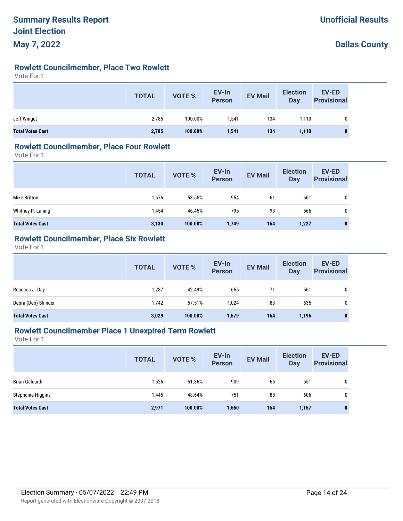# **Rowlett Councilmember, Place Two Rowlett**

Vote For 1

|                         | <b>TOTAL</b> | VOTE %  | EV-In<br>Person | <b>EV Mail</b> | <b>Election</b><br>Day | <b>EV-ED</b><br><b>Provisional</b> |
|-------------------------|--------------|---------|-----------------|----------------|------------------------|------------------------------------|
| Jeff Winget             | 2,785        | 100.00% | 1,541           | 134            | 1.110                  |                                    |
| <b>Total Votes Cast</b> | 2,785        | 100.00% | 1,541           | 134            | 1,110                  | $\bf{0}$                           |

## **Rowlett Councilmember, Place Four Rowlett**

Vote For 1

|                         | <b>TOTAL</b> | <b>VOTE %</b> | EV-In<br><b>Person</b> | <b>EV Mail</b> | <b>Election</b><br><b>Day</b> | <b>EV-ED</b><br><b>Provisional</b> |
|-------------------------|--------------|---------------|------------------------|----------------|-------------------------------|------------------------------------|
| Mike Britton            | 1,676        | 53.55%        | 954                    | 61             | 661                           | 0                                  |
| Whitney P. Laning       | 1,454        | 46.45%        | 795                    | 93             | 566                           | 0                                  |
| <b>Total Votes Cast</b> | 3,130        | 100.00%       | 1,749                  | 154            | 1,227                         | 0                                  |

# **Rowlett Councilmember, Place Six Rowlett**

Vote For 1

|                         | <b>TOTAL</b> | VOTE %  | EV-In<br>Person | <b>EV Mail</b> | <b>Election</b><br>Day | <b>EV-ED</b><br><b>Provisional</b> |
|-------------------------|--------------|---------|-----------------|----------------|------------------------|------------------------------------|
| Rebecca J. Day          | 1,287        | 42.49%  | 655             | 71             | 561                    | 0                                  |
| Debra (Deb) Shinder     | 1,742        | 57.51%  | 1.024           | 83             | 635                    | 0                                  |
| <b>Total Votes Cast</b> | 3,029        | 100.00% | 1,679           | 154            | 1,196                  | $\bf{0}$                           |

## **Rowlett Councilmember Place 1 Unexpired Term Rowlett**

|                         | <b>TOTAL</b> | <b>VOTE %</b> | EV-In<br><b>Person</b> | <b>EV Mail</b> | <b>Election</b><br><b>Day</b> | <b>EV-ED</b><br><b>Provisional</b> |
|-------------------------|--------------|---------------|------------------------|----------------|-------------------------------|------------------------------------|
| Brian Galuardi          | .526         | 51.36%        | 909                    | 66             | 551                           | 0                                  |
| Stephanie Higgins       | 1,445        | 48.64%        | 751                    | 88             | 606                           | 0                                  |
| <b>Total Votes Cast</b> | 2,971        | 100.00%       | 1,660                  | 154            | 1,157                         | $\bf{0}$                           |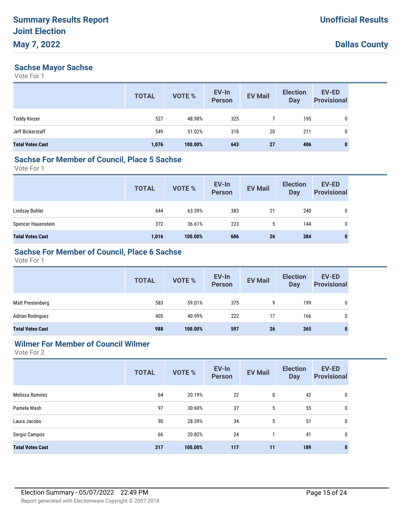## **Sachse Mayor Sachse**

Vote For 1

|                         | <b>TOTAL</b> | VOTE %  | EV-In<br><b>Person</b> | <b>EV Mail</b> | <b>Election</b><br><b>Day</b> | <b>EV-ED</b><br><b>Provisional</b> |
|-------------------------|--------------|---------|------------------------|----------------|-------------------------------|------------------------------------|
| <b>Teddy Kinzer</b>     | 527          | 48.98%  | 325                    |                | 195                           | 0                                  |
| Jeff Bickerstaff        | 549          | 51.02%  | 318                    | 20             | 211                           | 0                                  |
| <b>Total Votes Cast</b> | 1,076        | 100.00% | 643                    | <b>27</b>      | 406                           | $\bf{0}$                           |

#### **Sachse For Member of Council, Place 5 Sachse**

Vote For 1

|                         | <b>TOTAL</b> | VOTE %  | EV-In<br>Person | <b>EV Mail</b> | <b>Election</b><br>Day | <b>EV-ED</b><br><b>Provisional</b> |
|-------------------------|--------------|---------|-----------------|----------------|------------------------|------------------------------------|
| Lindsay Buhler          | 644          | 63.39%  | 383             | 21             | 240                    |                                    |
| Spencer Hauenstein      | 372          | 36.61%  | 223             | 5              | 144                    |                                    |
| <b>Total Votes Cast</b> | 1,016        | 100.00% | 606             | 26             | 384                    |                                    |

# **Sachse For Member of Council, Place 6 Sachse**

Vote For 1

|                         | <b>TOTAL</b> | VOTE %  | EV-In<br>Person | <b>EV Mail</b> | <b>Election</b><br>Day | <b>EV-ED</b><br><b>Provisional</b> |
|-------------------------|--------------|---------|-----------------|----------------|------------------------|------------------------------------|
| Matt Prestenberg        | 583          | 59.01%  | 375             | 9              | 199                    | 0                                  |
| Adrian Rodriguez        | 405          | 40.99%  | 222             | 17             | 166                    | 0                                  |
| <b>Total Votes Cast</b> | 988          | 100.00% | 597             | 26             | 365                    | 0                                  |

# **Wilmer For Member of Council Wilmer**

|                         | <b>TOTAL</b> | <b>VOTE %</b> | EV-In<br><b>Person</b> | <b>EV Mail</b> | <b>Election</b><br><b>Day</b> | <b>EV-ED</b><br><b>Provisional</b> |
|-------------------------|--------------|---------------|------------------------|----------------|-------------------------------|------------------------------------|
| Melissa Ramirez         | 64           | 20.19%        | 22                     | 0              | 42                            | 0                                  |
| Pamela Wash             | 97           | 30.60%        | 37                     | 5              | 55                            | 0                                  |
| Laura Jacobs            | 90           | 28.39%        | 34                     | 5              | 51                            | 0                                  |
| Sergio Campos           | 66           | 20.82%        | 24                     |                | 41                            | 0                                  |
| <b>Total Votes Cast</b> | 317          | 100.00%       | 117                    | 11             | 189                           | 0                                  |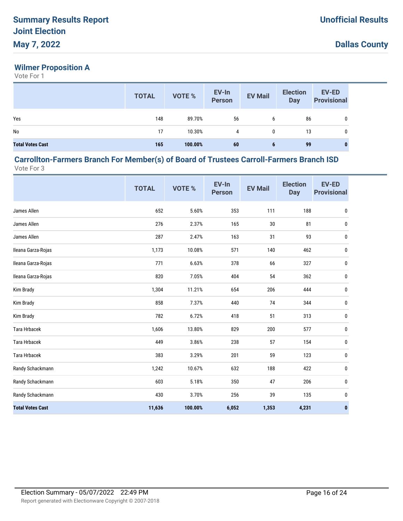# **Wilmer Proposition A**

Vote For 1

|                         | <b>TOTAL</b> | <b>VOTE %</b> | EV-In<br>Person | <b>EV Mail</b> | <b>Election</b><br>Day | <b>EV-ED</b><br><b>Provisional</b> |
|-------------------------|--------------|---------------|-----------------|----------------|------------------------|------------------------------------|
| Yes                     | 148          | 89.70%        | 56              | 6              | 86                     | 0                                  |
| No                      | 17           | 10.30%        | 4               | 0              | 13                     | 0                                  |
| <b>Total Votes Cast</b> | 165          | 100.00%       | 60              | 6              | 99                     | $\bf{0}$                           |

#### **Carrollton-Farmers Branch For Member(s) of Board of Trustees Carroll-Farmers Branch ISD** Vote For 3

|                         | <b>TOTAL</b> | VOTE %  | EV-In<br><b>Person</b> | <b>EV Mail</b> | <b>Election</b><br><b>Day</b> | <b>EV-ED</b><br><b>Provisional</b> |
|-------------------------|--------------|---------|------------------------|----------------|-------------------------------|------------------------------------|
| James Allen             | 652          | 5.60%   | 353                    | 111            | 188                           | $\pmb{0}$                          |
| James Allen             | 276          | 2.37%   | 165                    | 30             | 81                            | $\mathbf 0$                        |
| James Allen             | 287          | 2.47%   | 163                    | 31             | 93                            | $\pmb{0}$                          |
| Ileana Garza-Rojas      | 1,173        | 10.08%  | 571                    | 140            | 462                           | 0                                  |
| Ileana Garza-Rojas      | 771          | 6.63%   | 378                    | 66             | 327                           | 0                                  |
| Ileana Garza-Rojas      | 820          | 7.05%   | 404                    | 54             | 362                           | 0                                  |
| Kim Brady               | 1,304        | 11.21%  | 654                    | 206            | 444                           | 0                                  |
| Kim Brady               | 858          | 7.37%   | 440                    | 74             | 344                           | $\boldsymbol{0}$                   |
| Kim Brady               | 782          | 6.72%   | 418                    | 51             | 313                           | $\boldsymbol{0}$                   |
| <b>Tara Hrbacek</b>     | 1,606        | 13.80%  | 829                    | 200            | 577                           | 0                                  |
| <b>Tara Hrbacek</b>     | 449          | 3.86%   | 238                    | 57             | 154                           | 0                                  |
| <b>Tara Hrbacek</b>     | 383          | 3.29%   | 201                    | 59             | 123                           | $\boldsymbol{0}$                   |
| Randy Schackmann        | 1,242        | 10.67%  | 632                    | 188            | 422                           | 0                                  |
| Randy Schackmann        | 603          | 5.18%   | 350                    | 47             | 206                           | $\boldsymbol{0}$                   |
| Randy Schackmann        | 430          | 3.70%   | 256                    | 39             | 135                           | 0                                  |
| <b>Total Votes Cast</b> | 11,636       | 100.00% | 6,052                  | 1,353          | 4,231                         | $\bullet$                          |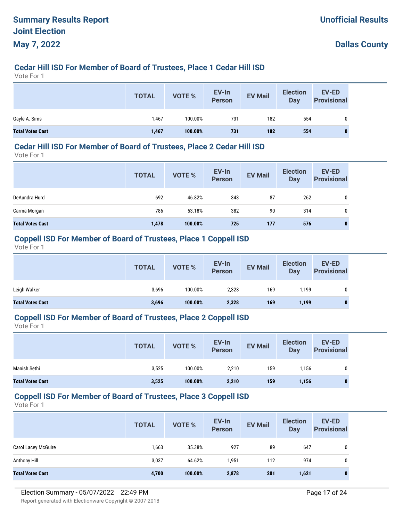# **Cedar Hill ISD For Member of Board of Trustees, Place 1 Cedar Hill ISD**

Vote For 1

|                         | <b>TOTAL</b> | VOTE %  | EV-In<br>Person | <b>EV Mail</b> | <b>Election</b><br>Day | <b>EV-ED</b><br><b>Provisional</b> |
|-------------------------|--------------|---------|-----------------|----------------|------------------------|------------------------------------|
| Gayle A. Sims           | 1,467        | 100.00% | 731             | 182            | 554                    | 0                                  |
| <b>Total Votes Cast</b> | 1,467        | 100.00% | 731             | 182            | 554                    | 0                                  |

#### **Cedar Hill ISD For Member of Board of Trustees, Place 2 Cedar Hill ISD**

Vote For 1

|                         | <b>TOTAL</b> | VOTE %  | EV-In<br><b>Person</b> | <b>EV Mail</b> | <b>Election</b><br><b>Day</b> | <b>EV-ED</b><br><b>Provisional</b> |
|-------------------------|--------------|---------|------------------------|----------------|-------------------------------|------------------------------------|
| DeAundra Hurd           | 692          | 46.82%  | 343                    | 87             | 262                           | 0                                  |
| Carma Morgan            | 786          | 53.18%  | 382                    | 90             | 314                           | 0                                  |
| <b>Total Votes Cast</b> | 1,478        | 100.00% | 725                    | 177            | 576                           | $\bf{0}$                           |

#### **Coppell ISD For Member of Board of Trustees, Place 1 Coppell ISD**

Vote For 1

|                         | <b>TOTAL</b> | <b>VOTE %</b> | EV-In<br><b>Person</b> | <b>EV Mail</b> | <b>Election</b><br><b>Day</b> | EV-ED<br><b>Provisional</b> |
|-------------------------|--------------|---------------|------------------------|----------------|-------------------------------|-----------------------------|
| Leigh Walker            | 3,696        | 100.00%       | 2,328                  | 169            | 1.199                         | 0                           |
| <b>Total Votes Cast</b> | 3,696        | 100.00%       | 2,328                  | 169            | 1,199                         | $\bf{0}$                    |

#### **Coppell ISD For Member of Board of Trustees, Place 2 Coppell ISD**

Vote For 1

|                         | <b>TOTAL</b> | <b>VOTE %</b> | EV-In<br><b>Person</b> | <b>EV Mail</b> | <b>Election</b><br>Day | <b>EV-ED</b><br><b>Provisional</b> |
|-------------------------|--------------|---------------|------------------------|----------------|------------------------|------------------------------------|
| Manish Sethi            | 3,525        | 100.00%       | 2,210                  | 159            | 1.156                  |                                    |
| <b>Total Votes Cast</b> | 3,525        | 100.00%       | 2,210                  | 159            | 1,156                  | $\bf{0}$                           |

#### **Coppell ISD For Member of Board of Trustees, Place 3 Coppell ISD**

|                            | <b>TOTAL</b> | <b>VOTE %</b> | EV-In<br><b>Person</b> | <b>EV Mail</b> | <b>Election</b><br>Day | <b>EV-ED</b><br><b>Provisional</b> |
|----------------------------|--------------|---------------|------------------------|----------------|------------------------|------------------------------------|
| <b>Carol Lacey McGuire</b> | 1,663        | 35.38%        | 927                    | 89             | 647                    | 0                                  |
| Anthony Hill               | 3,037        | 64.62%        | 1,951                  | 112            | 974                    | 0                                  |
| <b>Total Votes Cast</b>    | 4,700        | 100.00%       | 2,878                  | 201            | 1,621                  | 0                                  |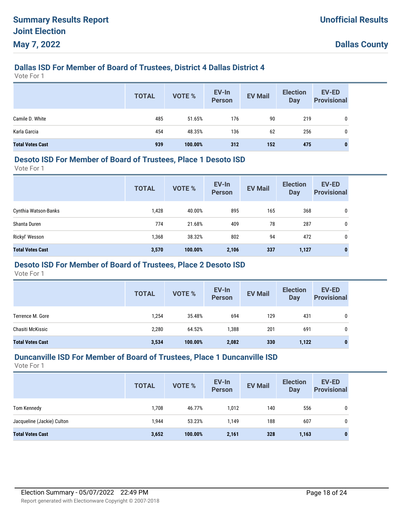# **Dallas ISD For Member of Board of Trustees, District 4 Dallas District 4**

Vote For 1

|                         | <b>TOTAL</b> | <b>VOTE %</b> | EV-In<br>Person | <b>EV Mail</b> | <b>Election</b><br><b>Day</b> | <b>EV-ED</b><br><b>Provisional</b> |
|-------------------------|--------------|---------------|-----------------|----------------|-------------------------------|------------------------------------|
| Camile D. White         | 485          | 51.65%        | 176             | 90             | 219                           | 0                                  |
| Karla Garcia            | 454          | 48.35%        | 136             | 62             | 256                           | 0                                  |
| <b>Total Votes Cast</b> | 939          | 100.00%       | 312             | 152            | 475                           | 0                                  |

## **Desoto ISD For Member of Board of Trustees, Place 1 Desoto ISD**

Vote For 1

|                         | <b>TOTAL</b> | <b>VOTE %</b> | EV-In<br><b>Person</b> | <b>EV Mail</b> | <b>Election</b><br><b>Day</b> | <b>EV-ED</b><br><b>Provisional</b> |
|-------------------------|--------------|---------------|------------------------|----------------|-------------------------------|------------------------------------|
| Cynthia Watson-Banks    | 1,428        | 40.00%        | 895                    | 165            | 368                           | 0                                  |
| Shanta Duren            | 774          | 21.68%        | 409                    | 78             | 287                           | 0                                  |
| Rickyl' Wesson          | 1,368        | 38.32%        | 802                    | 94             | 472                           | 0                                  |
| <b>Total Votes Cast</b> | 3,570        | 100.00%       | 2,106                  | 337            | 1,127                         | 0                                  |

# **Desoto ISD For Member of Board of Trustees, Place 2 Desoto ISD**

Vote For 1

|                         | <b>TOTAL</b> | VOTE %  | EV-In<br><b>Person</b> | <b>EV Mail</b> | <b>Election</b><br><b>Day</b> | <b>EV-ED</b><br><b>Provisional</b> |
|-------------------------|--------------|---------|------------------------|----------------|-------------------------------|------------------------------------|
| Terrence M. Gore        | 1,254        | 35.48%  | 694                    | 129            | 431                           | 0                                  |
| Chasiti McKissic        | 2,280        | 64.52%  | 1,388                  | 201            | 691                           | $\mathbf{0}$                       |
| <b>Total Votes Cast</b> | 3,534        | 100.00% | 2,082                  | 330            | 1,122                         | 0                                  |

#### **Duncanville ISD For Member of Board of Trustees, Place 1 Duncanville ISD**

|                            | <b>TOTAL</b> | <b>VOTE %</b> | EV-In<br><b>Person</b> | <b>EV Mail</b> | <b>Election</b><br>Day | EV-ED<br><b>Provisional</b> |
|----------------------------|--------------|---------------|------------------------|----------------|------------------------|-----------------------------|
| Tom Kennedy                | 1,708        | 46.77%        | 1,012                  | 140            | 556                    | 0                           |
| Jacqueline (Jackie) Culton | 1,944        | 53.23%        | 1,149                  | 188            | 607                    | 0                           |
| <b>Total Votes Cast</b>    | 3,652        | 100.00%       | 2,161                  | 328            | 1,163                  | $\bf{0}$                    |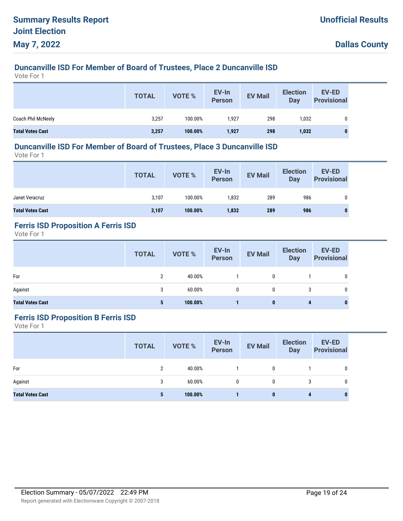# **Duncanville ISD For Member of Board of Trustees, Place 2 Duncanville ISD**

Vote For 1

|                         | <b>TOTAL</b> | <b>VOTE %</b> | EV-In<br>Person | <b>EV Mail</b> | <b>Election</b><br>Day | EV-ED<br><b>Provisional</b> |
|-------------------------|--------------|---------------|-----------------|----------------|------------------------|-----------------------------|
| Coach Phil McNeely      | 3,257        | 100.00%       | 1,927           | 298            | 1,032                  | 0                           |
| <b>Total Votes Cast</b> | 3,257        | 100.00%       | 1,927           | 298            | 1,032                  |                             |

## **Duncanville ISD For Member of Board of Trustees, Place 3 Duncanville ISD**

Vote For 1

|                         | <b>TOTAL</b> | VOTE %  | EV-In<br>Person | <b>EV Mail</b> | <b>Election</b><br>Day | <b>EV-ED</b><br><b>Provisional</b> |
|-------------------------|--------------|---------|-----------------|----------------|------------------------|------------------------------------|
| Janet Veracruz          | 3,107        | 100.00% | 1,832           | 289            | 986                    |                                    |
| <b>Total Votes Cast</b> | 3,107        | 100.00% | 1,832           | 289            | 986                    |                                    |

# **Ferris ISD Proposition A Ferris ISD**

Vote For 1

|                         | <b>TOTAL</b> | VOTE %  | EV-In<br>Person | <b>EV Mail</b> | <b>Election</b><br>Day | <b>EV-ED</b><br><b>Provisional</b> |
|-------------------------|--------------|---------|-----------------|----------------|------------------------|------------------------------------|
| For                     | C            | 40.00%  |                 | 0              |                        | 0                                  |
| Against                 | 3            | 60.00%  | $\mathbf{0}$    | 0              | 3                      | 0                                  |
| <b>Total Votes Cast</b> | 5            | 100.00% |                 | 0              | 4                      | $\bf{0}$                           |

### **Ferris ISD Proposition B Ferris ISD**

|                         | <b>TOTAL</b> | <b>VOTE %</b> | EV-In<br>Person | <b>EV Mail</b> | <b>Election</b><br><b>Day</b> | EV-ED<br><b>Provisional</b> |
|-------------------------|--------------|---------------|-----------------|----------------|-------------------------------|-----------------------------|
| For                     | 2            | 40.00%        |                 | $\mathbf{0}$   |                               | 0                           |
| Against                 | 3            | 60.00%        | $\mathbf{0}$    | 0              | 3                             | 0                           |
| <b>Total Votes Cast</b> | 5            | 100.00%       |                 | $\mathbf{0}$   | 4                             | 0                           |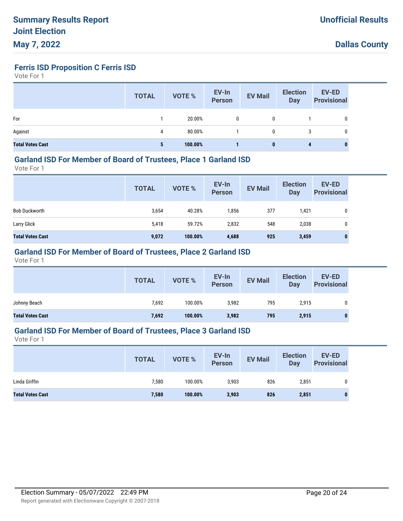**Ferris ISD Proposition C Ferris ISD**

Vote For 1

|                         | <b>TOTAL</b> | VOTE %  | EV-In<br>Person | <b>EV Mail</b> | <b>Election</b><br>Day | <b>EV-ED</b><br><b>Provisional</b> |
|-------------------------|--------------|---------|-----------------|----------------|------------------------|------------------------------------|
| For                     |              | 20.00%  | 0               | 0              |                        | 0                                  |
| Against                 | 4            | 80.00%  |                 | 0              | 3                      | 0                                  |
| <b>Total Votes Cast</b> | 5            | 100.00% |                 | 0              | 4                      | $\bf{0}$                           |

#### **Garland ISD For Member of Board of Trustees, Place 1 Garland ISD**

Vote For 1

|                         | <b>TOTAL</b> | VOTE %  | EV-In<br><b>Person</b> | <b>EV Mail</b> | <b>Election</b><br>Day | <b>EV-ED</b><br><b>Provisional</b> |
|-------------------------|--------------|---------|------------------------|----------------|------------------------|------------------------------------|
| <b>Bob Duckworth</b>    | 3,654        | 40.28%  | 1,856                  | 377            | 1,421                  | 0                                  |
| Larry Glick             | 5,418        | 59.72%  | 2,832                  | 548            | 2,038                  | 0                                  |
| <b>Total Votes Cast</b> | 9,072        | 100.00% | 4,688                  | 925            | 3,459                  | 0                                  |

# **Garland ISD For Member of Board of Trustees, Place 2 Garland ISD**

Vote For 1

|                         | <b>TOTAL</b> | VOTE %  | EV-In<br>Person | <b>EV Mail</b> | <b>Election</b><br>Day | EV-ED<br><b>Provisional</b> |
|-------------------------|--------------|---------|-----------------|----------------|------------------------|-----------------------------|
| Johnny Beach            | 7,692        | 100.00% | 3,982           | 795            | 2,915                  | 0                           |
| <b>Total Votes Cast</b> | 7,692        | 100.00% | 3,982           | 795            | 2,915                  |                             |

## **Garland ISD For Member of Board of Trustees, Place 3 Garland ISD**

|                         | <b>TOTAL</b> | VOTE %  | EV-In<br><b>Person</b> | <b>EV Mail</b> | <b>Election</b><br><b>Day</b> | <b>EV-ED</b><br><b>Provisional</b> |
|-------------------------|--------------|---------|------------------------|----------------|-------------------------------|------------------------------------|
| Linda Griffin           | 7,580        | 100.00% | 3,903                  | 826            | 2,851                         | 0                                  |
| <b>Total Votes Cast</b> | 7,580        | 100.00% | 3,903                  | 826            | 2,851                         | 0                                  |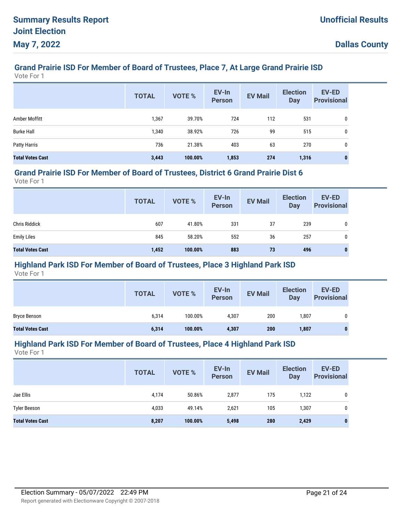# **Grand Prairie ISD For Member of Board of Trustees, Place 7, At Large Grand Prairie ISD**

Vote For 1

|                         | <b>TOTAL</b> | <b>VOTE %</b> | EV-In<br><b>Person</b> | <b>EV Mail</b> | <b>Election</b><br><b>Day</b> | <b>EV-ED</b><br><b>Provisional</b> |
|-------------------------|--------------|---------------|------------------------|----------------|-------------------------------|------------------------------------|
| Amber Moffitt           | 1,367        | 39.70%        | 724                    | 112            | 531                           | 0                                  |
| <b>Burke Hall</b>       | 1,340        | 38.92%        | 726                    | 99             | 515                           | 0                                  |
| <b>Patty Harris</b>     | 736          | 21.38%        | 403                    | 63             | 270                           | 0                                  |
| <b>Total Votes Cast</b> | 3,443        | 100.00%       | 1,853                  | 274            | 1,316                         | 0                                  |

#### **Grand Prairie ISD For Member of Board of Trustees, District 6 Grand Prairie Dist 6**

Vote For 1

|                         | <b>TOTAL</b> | VOTE %  | EV-In<br>Person | <b>EV Mail</b> | <b>Election</b><br>Day | <b>EV-ED</b><br><b>Provisional</b> |
|-------------------------|--------------|---------|-----------------|----------------|------------------------|------------------------------------|
| <b>Chris Riddick</b>    | 607          | 41.80%  | 331             | 37             | 239                    | 0                                  |
| <b>Emily Liles</b>      | 845          | 58.20%  | 552             | 36             | 257                    | $\mathbf{0}$                       |
| <b>Total Votes Cast</b> | 1,452        | 100.00% | 883             | 73             | 496                    | $\bf{0}$                           |

# **Highland Park ISD For Member of Board of Trustees, Place 3 Highland Park ISD**

Vote For 1

|                         | <b>TOTAL</b> | VOTE %  | EV-In<br><b>Person</b> | <b>EV Mail</b> | <b>Election</b><br><b>Day</b> | <b>EV-ED</b><br><b>Provisional</b> |
|-------------------------|--------------|---------|------------------------|----------------|-------------------------------|------------------------------------|
| Bryce Benson            | 6,314        | 100.00% | 4,307                  | 200            | ,807                          | 0                                  |
| <b>Total Votes Cast</b> | 6,314        | 100.00% | 4,307                  | 200            | 1,807                         | 0                                  |

#### **Highland Park ISD For Member of Board of Trustees, Place 4 Highland Park ISD**

|                         | <b>TOTAL</b> | VOTE %  | EV-In<br><b>Person</b> | <b>EV Mail</b> | <b>Election</b><br><b>Day</b> | <b>EV-ED</b><br><b>Provisional</b> |
|-------------------------|--------------|---------|------------------------|----------------|-------------------------------|------------------------------------|
| Jae Ellis               | 4,174        | 50.86%  | 2,877                  | 175            | 1,122                         | 0                                  |
| <b>Tyler Beeson</b>     | 4,033        | 49.14%  | 2,621                  | 105            | 1,307                         | 0                                  |
| <b>Total Votes Cast</b> | 8,207        | 100.00% | 5,498                  | 280            | 2,429                         | 0                                  |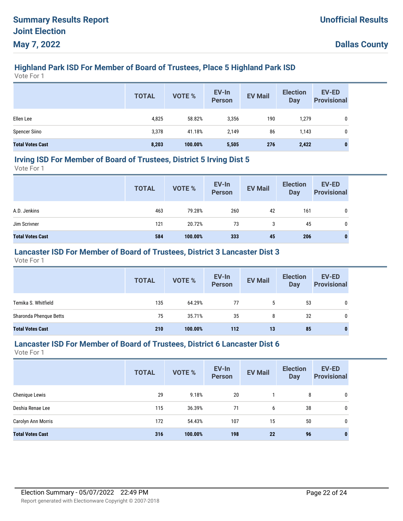# **Highland Park ISD For Member of Board of Trustees, Place 5 Highland Park ISD**

Vote For 1

|                         | <b>TOTAL</b> | <b>VOTE %</b> | EV-In<br>Person | <b>EV Mail</b> | <b>Election</b><br><b>Day</b> | <b>EV-ED</b><br><b>Provisional</b> |
|-------------------------|--------------|---------------|-----------------|----------------|-------------------------------|------------------------------------|
| Ellen Lee               | 4,825        | 58.82%        | 3,356           | 190            | 1,279                         | 0                                  |
| <b>Spencer Siino</b>    | 3,378        | 41.18%        | 2.149           | 86             | 1,143                         | 0                                  |
| <b>Total Votes Cast</b> | 8,203        | 100.00%       | 5,505           | 276            | 2,422                         | 0                                  |

#### **Irving ISD For Member of Board of Trustees, District 5 Irving Dist 5**

Vote For 1

|                         | <b>TOTAL</b> | VOTE %  | EV-In<br>Person | <b>EV Mail</b> | <b>Election</b><br>Day | <b>EV-ED</b><br><b>Provisional</b> |
|-------------------------|--------------|---------|-----------------|----------------|------------------------|------------------------------------|
| A.D. Jenkins            | 463          | 79.28%  | 260             | 42             | 161                    | 0                                  |
| Jim Scrivner            | 121          | 20.72%  | 73              | 3              | 45                     | 0                                  |
| <b>Total Votes Cast</b> | 584          | 100.00% | 333             | 45             | 206                    | 0                                  |

# **Lancaster ISD For Member of Board of Trustees, District 3 Lancaster Dist 3**

Vote For 1

|                         | <b>TOTAL</b> | VOTE %  | EV-In<br>Person | <b>EV Mail</b> | <b>Election</b><br>Day | <b>EV-ED</b><br><b>Provisional</b> |
|-------------------------|--------------|---------|-----------------|----------------|------------------------|------------------------------------|
| Temika S. Whitfield     | 135          | 64.29%  | 77              | 5              | 53                     | 0                                  |
| Sharonda Phenque Betts  | 75           | 35.71%  | 35              | 8              | 32                     | $\mathbf 0$                        |
| <b>Total Votes Cast</b> | 210          | 100.00% | 112             | 13             | 85                     | 0                                  |

#### **Lancaster ISD For Member of Board of Trustees, District 6 Lancaster Dist 6**

|                         | <b>TOTAL</b> | VOTE %  | EV-In<br><b>Person</b> | <b>EV Mail</b> | <b>Election</b><br><b>Day</b> | <b>EV-ED</b><br><b>Provisional</b> |
|-------------------------|--------------|---------|------------------------|----------------|-------------------------------|------------------------------------|
| Chenique Lewis          | 29           | 9.18%   | 20                     |                | 8                             | 0                                  |
| Deshia Renae Lee        | 115          | 36.39%  | 71                     | 6              | 38                            | 0                                  |
| Carolyn Ann Morris      | 172          | 54.43%  | 107                    | 15             | 50                            | $\mathbf{0}$                       |
| <b>Total Votes Cast</b> | 316          | 100.00% | 198                    | 22             | 96                            |                                    |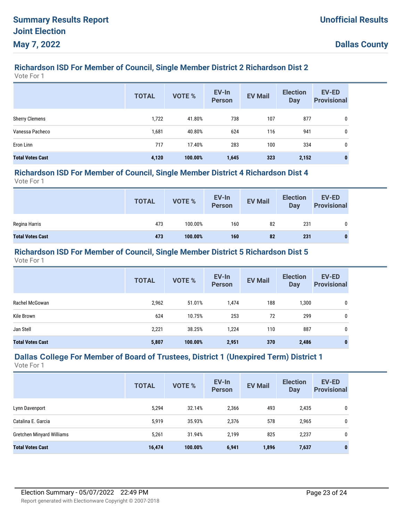# **Richardson ISD For Member of Council, Single Member District 2 Richardson Dist 2**

Vote For 1

|                         | <b>TOTAL</b> | <b>VOTE %</b> | EV-In<br><b>Person</b> | <b>EV Mail</b> | <b>Election</b><br><b>Day</b> | <b>EV-ED</b><br><b>Provisional</b> |
|-------------------------|--------------|---------------|------------------------|----------------|-------------------------------|------------------------------------|
| <b>Sherry Clemens</b>   | 1,722        | 41.80%        | 738                    | 107            | 877                           | 0                                  |
| Vanessa Pacheco         | 1,681        | 40.80%        | 624                    | 116            | 941                           | 0                                  |
| Eron Linn               | 717          | 17.40%        | 283                    | 100            | 334                           | 0                                  |
| <b>Total Votes Cast</b> | 4,120        | 100.00%       | 1,645                  | 323            | 2,152                         | 0                                  |

## **Richardson ISD For Member of Council, Single Member District 4 Richardson Dist 4**

Vote For 1

|                         | <b>TOTAL</b> | VOTE %  | EV-In<br>Person | <b>EV Mail</b> | <b>Election</b><br><b>Day</b> | <b>EV-ED</b><br><b>Provisional</b> |
|-------------------------|--------------|---------|-----------------|----------------|-------------------------------|------------------------------------|
| Regina Harris           | 473          | 100.00% | 160             | 82             | 231                           | 0                                  |
| <b>Total Votes Cast</b> | 473          | 100.00% | 160             | 82             | 231                           |                                    |

#### **Richardson ISD For Member of Council, Single Member District 5 Richardson Dist 5**

Vote For 1

|                         | <b>TOTAL</b> | VOTE %  | EV-In<br><b>Person</b> | <b>EV Mail</b> | <b>Election</b><br>Day | <b>EV-ED</b><br><b>Provisional</b> |
|-------------------------|--------------|---------|------------------------|----------------|------------------------|------------------------------------|
| Rachel McGowan          | 2,962        | 51.01%  | 1,474                  | 188            | 1,300                  | 0                                  |
| Kile Brown              | 624          | 10.75%  | 253                    | 72             | 299                    | 0                                  |
| Jan Stell               | 2,221        | 38.25%  | 1,224                  | 110            | 887                    | 0                                  |
| <b>Total Votes Cast</b> | 5,807        | 100.00% | 2,951                  | 370            | 2,486                  | $\bf{0}$                           |

# **Dallas College For Member of Board of Trustees, District 1 (Unexpired Term) District 1**

|                                  | <b>TOTAL</b> | <b>VOTE %</b> | EV-In<br><b>Person</b> | <b>EV Mail</b> | <b>Election</b><br><b>Day</b> | <b>EV-ED</b><br><b>Provisional</b> |
|----------------------------------|--------------|---------------|------------------------|----------------|-------------------------------|------------------------------------|
| Lynn Davenport                   | 5,294        | 32.14%        | 2,366                  | 493            | 2,435                         | 0                                  |
| Catalina E. Garcia               | 5,919        | 35.93%        | 2,376                  | 578            | 2,965                         | 0                                  |
| <b>Gretchen Minyard Williams</b> | 5,261        | 31.94%        | 2,199                  | 825            | 2,237                         | 0                                  |
| <b>Total Votes Cast</b>          | 16,474       | 100.00%       | 6,941                  | 1,896          | 7,637                         | 0                                  |